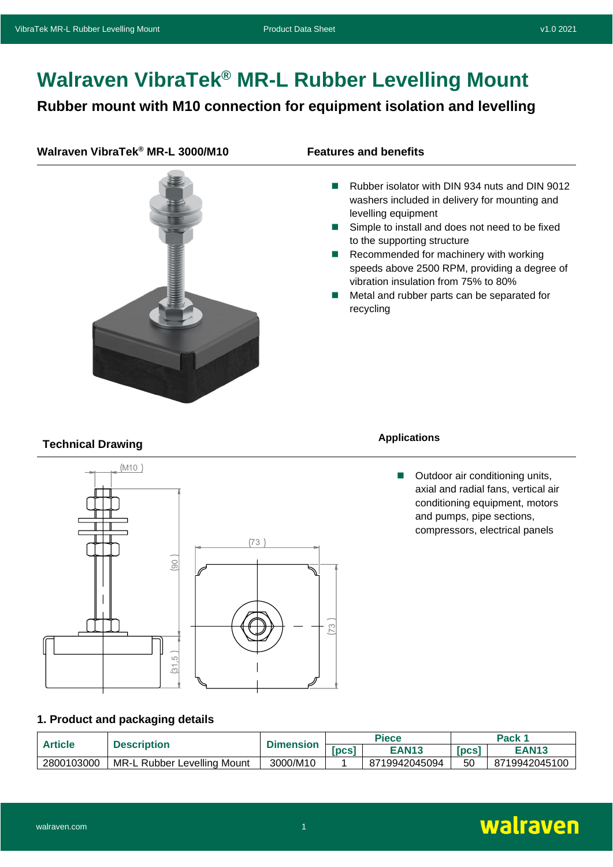# **Walraven VibraTek® MR-L Rubber Levelling Mount**

## **Rubber mount with M10 connection for equipment isolation and levelling**

### **Walraven VibraTek® MR-L 3000/M10 Features and benefits**



- Rubber isolator with DIN 934 nuts and DIN 9012 washers included in delivery for mounting and levelling equipment
- Simple to install and does not need to be fixed to the supporting structure
- Recommended for machinery with working speeds above 2500 RPM, providing a degree of vibration insulation from 75% to 80%
- Metal and rubber parts can be separated for recycling

# **Technical Drawing Applications**



■ Outdoor air conditioning units, axial and radial fans, vertical air conditioning equipment, motors and pumps, pipe sections, compressors, electrical panels

#### **1. Product and packaging details**

|                | তা<br>1. Product and packaging details |                  |              |               |        |               |
|----------------|----------------------------------------|------------------|--------------|---------------|--------|---------------|
| <b>Article</b> | <b>Description</b>                     | <b>Dimension</b> | <b>Piece</b> |               | Pack 1 |               |
|                |                                        |                  | [PCS]        | <b>EAN13</b>  | [PCS]  | <b>EAN13</b>  |
| 2800103000     | MR-L Rubber Levelling Mount            | 3000/M10         |              | 8719942045094 | 50     | 8719942045100 |

#### walraven.com **1** and 1 and 1 and 1 and 1 and 1 and 1 and 1 and 1 and 1 and 1 and 1 and 1 and 1 and 1 and 1 and 1 and 1 and 1 and 1 and 1 and 1 and 1 and 1 and 1 and 1 and 1 and 1 and 1 and 1 and 1 and 1 and 1 and 1 and 1 a